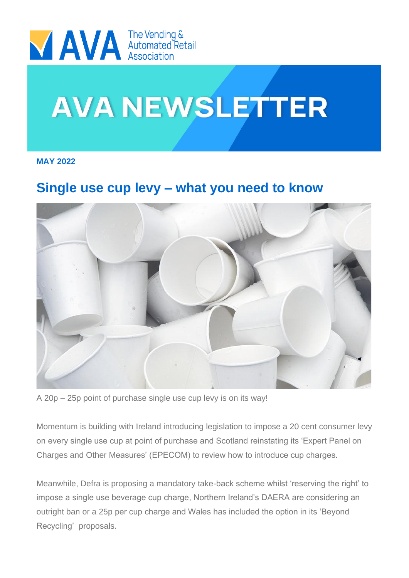

# **AVA NEWSLETTER**

**MAY 2022**

### **Single use cup levy – what you need to know**



A 20p – 25p point of purchase single use cup levy is on its way!

Momentum is building with Ireland introducing legislation to impose a 20 cent consumer levy on every single use cup at point of purchase and Scotland reinstating its 'Expert Panel on Charges and Other Measures' (EPECOM) to review how to introduce cup charges.

Meanwhile, Defra is proposing a mandatory take-back scheme whilst 'reserving the right' to impose a single use beverage cup charge, Northern Ireland's DAERA are considering an outright ban or a 25p per cup charge and Wales has included the option in its 'Beyond Recycling' proposals.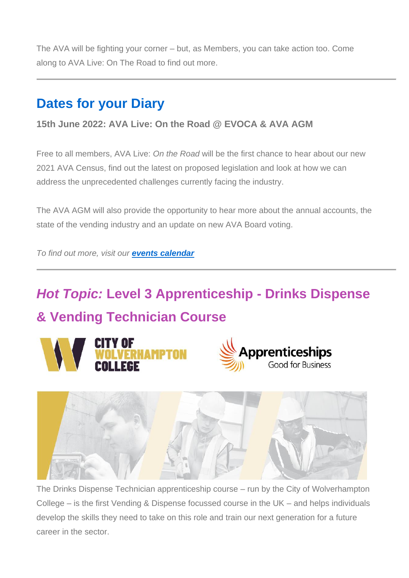The AVA will be fighting your corner – but, as Members, you can take action too. Come along to AVA Live: On The Road to find out more.

#### **Dates for your Diary**

#### **15th June 2022: AVA Live: On the Road @ EVOCA & AVA AGM**

Free to all members, AVA Live: *On the Road* will be the first chance to hear about our new 2021 AVA Census, find out the latest on proposed legislation and look at how we can address the unprecedented challenges currently facing the industry.

The AVA AGM will also provide the opportunity to hear more about the annual accounts, the state of the vending industry and an update on new AVA Board voting.

*To find out more, visit our [events calendar](https://the-ava.us3.list-manage.com/track/click?u=c60fb51fa4c5ec70894f06ca9&id=c7552add44&e=c2705fb7bc)*

## *Hot Topic:* **Level 3 Apprenticeship - Drinks Dispense & Vending Technician Course**





The Drinks Dispense Technician apprenticeship course – run by the City of Wolverhampton College – is the first Vending & Dispense focussed course in the UK – and helps individuals develop the skills they need to take on this role and train our next generation for a future career in the sector.